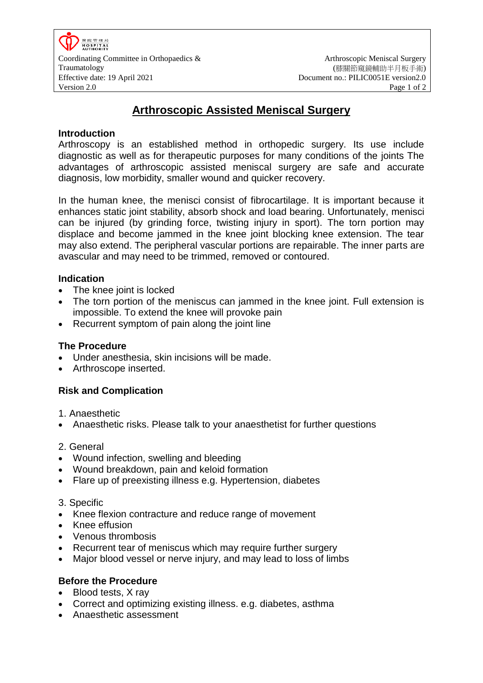# **Arthroscopic Assisted Meniscal Surgery**

## **Introduction**

Arthroscopy is an established method in orthopedic surgery. Its use include diagnostic as well as for therapeutic purposes for many conditions of the joints The advantages of arthroscopic assisted meniscal surgery are safe and accurate diagnosis, low morbidity, smaller wound and quicker recovery.

In the human knee, the menisci consist of fibrocartilage. It is important because it enhances static joint stability, absorb shock and load bearing. Unfortunately, menisci can be injured (by grinding force, twisting injury in sport). The torn portion may displace and become jammed in the knee joint blocking knee extension. The tear may also extend. The peripheral vascular portions are repairable. The inner parts are avascular and may need to be trimmed, removed or contoured.

## **Indication**

- The knee joint is locked
- The torn portion of the meniscus can jammed in the knee joint. Full extension is impossible. To extend the knee will provoke pain
- Recurrent symptom of pain along the joint line

## **The Procedure**

- Under anesthesia, skin incisions will be made.
- Arthroscope inserted.

## **Risk and Complication**

1. Anaesthetic

Anaesthetic risks. Please talk to your anaesthetist for further questions

## 2. General

- Wound infection, swelling and bleeding
- Wound breakdown, pain and keloid formation
- Flare up of preexisting illness e.g. Hypertension, diabetes

## 3. Specific

- Knee flexion contracture and reduce range of movement
- Knee effusion
- Venous thrombosis
- Recurrent tear of meniscus which may require further surgery
- Major blood vessel or nerve injury, and may lead to loss of limbs

## **Before the Procedure**

- Blood tests, X ray
- Correct and optimizing existing illness. e.g. diabetes, asthma
- Anaesthetic assessment